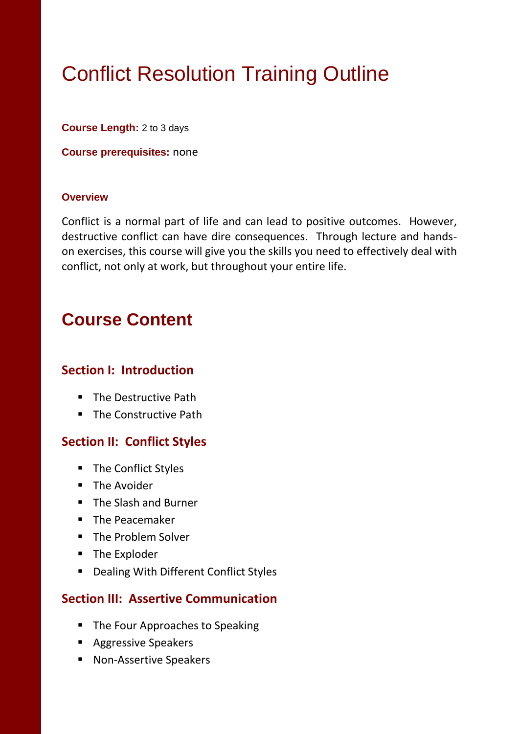# Conflict Resolution Training Outline

**Course Length:** 2 to 3 days

**Course prerequisites:** none

#### **Overview**

Conflict is a normal part of life and can lead to positive outcomes. However, destructive conflict can have dire consequences. Through lecture and handson exercises, this course will give you the skills you need to effectively deal with conflict, not only at work, but throughout your entire life.

## **Course Content**

#### **Section I: Introduction**

- **The Destructive Path**
- The Constructive Path

### **Section II: Conflict Styles**

- **The Conflict Styles**
- **The Avoider**
- **F** The Slash and Burner
- **The Peacemaker**
- The Problem Solver
- The Exploder
- **Dealing With Different Conflict Styles**

#### **Section III: Assertive Communication**

- The Four Approaches to Speaking
- **Aggressive Speakers**
- Non-Assertive Speakers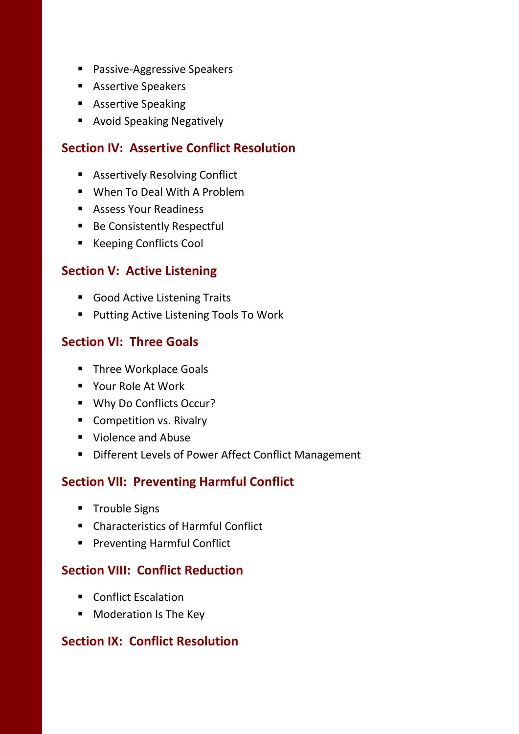- **Passive-Aggressive Speakers**
- **Assertive Speakers**
- **Assertive Speaking**
- **Avoid Speaking Negatively**

#### **Section IV: Assertive Conflict Resolution**

- **Assertively Resolving Conflict**
- When To Deal With A Problem
- **Assess Your Readiness**
- Be Consistently Respectful
- Keeping Conflicts Cool

#### **Section V: Active Listening**

- **Good Active Listening Traits**
- **Putting Active Listening Tools To Work**

#### **Section VI: Three Goals**

- **Three Workplace Goals**
- Your Role At Work
- Why Do Conflicts Occur?
- Competition vs. Rivalry
- **Violence and Abuse**
- **Different Levels of Power Affect Conflict Management**

### **Section VII: Preventing Harmful Conflict**

- **Trouble Signs**
- Characteristics of Harmful Conflict
- **Preventing Harmful Conflict**

#### **Section VIII: Conflict Reduction**

- Conflict Escalation
- **Moderation Is The Key**

#### **Section IX: Conflict Resolution**